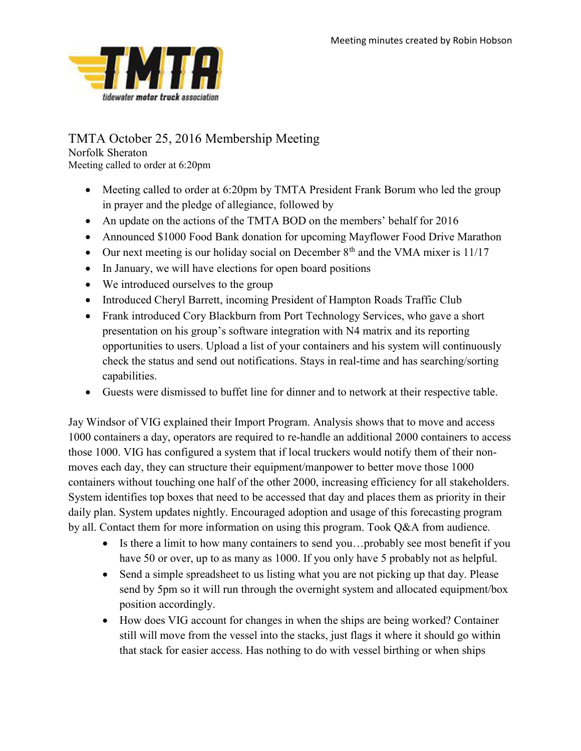

## TMTA October 25, 2016 Membership Meeting

Norfolk Sheraton Meeting called to order at 6:20pm

- Meeting called to order at 6:20pm by TMTA President Frank Borum who led the group in prayer and the pledge of allegiance, followed by
- An update on the actions of the TMTA BOD on the members' behalf for 2016
- Announced \$1000 Food Bank donation for upcoming Mayflower Food Drive Marathon
- Our next meeting is our holiday social on December  $8<sup>th</sup>$  and the VMA mixer is 11/17
- In January, we will have elections for open board positions
- We introduced ourselves to the group
- Introduced Cheryl Barrett, incoming President of Hampton Roads Traffic Club
- Frank introduced Cory Blackburn from Port Technology Services, who gave a short presentation on his group's software integration with N4 matrix and its reporting opportunities to users. Upload a list of your containers and his system will continuously check the status and send out notifications. Stays in real-time and has searching/sorting capabilities.
- Guests were dismissed to buffet line for dinner and to network at their respective table.

Jay Windsor of VIG explained their Import Program. Analysis shows that to move and access 1000 containers a day, operators are required to re-handle an additional 2000 containers to access those 1000. VIG has configured a system that if local truckers would notify them of their nonmoves each day, they can structure their equipment/manpower to better move those 1000 containers without touching one half of the other 2000, increasing efficiency for all stakeholders. System identifies top boxes that need to be accessed that day and places them as priority in their daily plan. System updates nightly. Encouraged adoption and usage of this forecasting program by all. Contact them for more information on using this program. Took Q&A from audience.

- Is there a limit to how many containers to send you...probably see most benefit if you have 50 or over, up to as many as 1000. If you only have 5 probably not as helpful.
- Send a simple spreadsheet to us listing what you are not picking up that day. Please send by 5pm so it will run through the overnight system and allocated equipment/box position accordingly.
- How does VIG account for changes in when the ships are being worked? Container still will move from the vessel into the stacks, just flags it where it should go within that stack for easier access. Has nothing to do with vessel birthing or when ships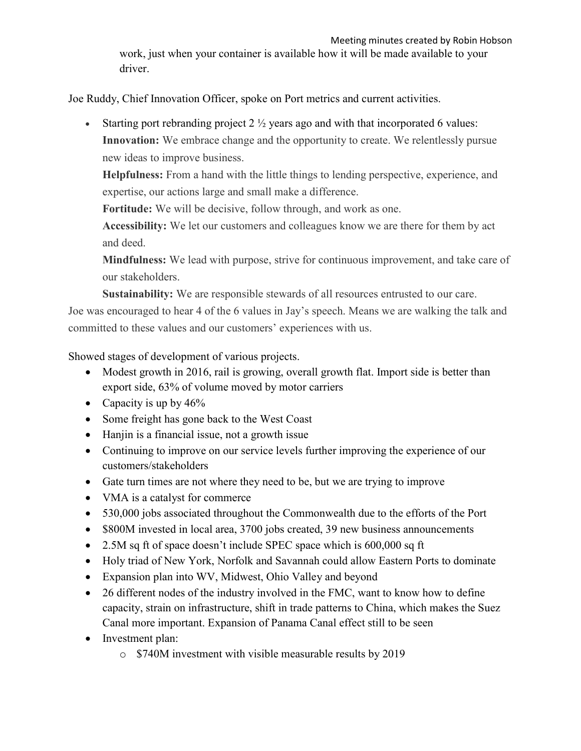Joe Ruddy, Chief Innovation Officer, spoke on Port metrics and current activities.

Starting port rebranding project  $2 \frac{1}{2}$  years ago and with that incorporated 6 values: Innovation: We embrace change and the opportunity to create. We relentlessly pursue new ideas to improve business.

Helpfulness: From a hand with the little things to lending perspective, experience, and expertise, our actions large and small make a difference.

Fortitude: We will be decisive, follow through, and work as one.

Accessibility: We let our customers and colleagues know we are there for them by act and deed.

Mindfulness: We lead with purpose, strive for continuous improvement, and take care of our stakeholders.

Sustainability: We are responsible stewards of all resources entrusted to our care. Joe was encouraged to hear 4 of the 6 values in Jay's speech. Means we are walking the talk and

committed to these values and our customers' experiences with us.

Showed stages of development of various projects.

- Modest growth in 2016, rail is growing, overall growth flat. Import side is better than export side, 63% of volume moved by motor carriers
- Capacity is up by  $46\%$
- Some freight has gone back to the West Coast
- Hanjin is a financial issue, not a growth issue
- Continuing to improve on our service levels further improving the experience of our customers/stakeholders
- Gate turn times are not where they need to be, but we are trying to improve
- VMA is a catalyst for commerce
- 530,000 jobs associated throughout the Commonwealth due to the efforts of the Port
- \$800M invested in local area, 3700 jobs created, 39 new business announcements
- 2.5M sq ft of space doesn't include SPEC space which is 600,000 sq ft
- Holy triad of New York, Norfolk and Savannah could allow Eastern Ports to dominate
- Expansion plan into WV, Midwest, Ohio Valley and beyond
- 26 different nodes of the industry involved in the FMC, want to know how to define capacity, strain on infrastructure, shift in trade patterns to China, which makes the Suez Canal more important. Expansion of Panama Canal effect still to be seen
- Investment plan:
	- o \$740M investment with visible measurable results by 2019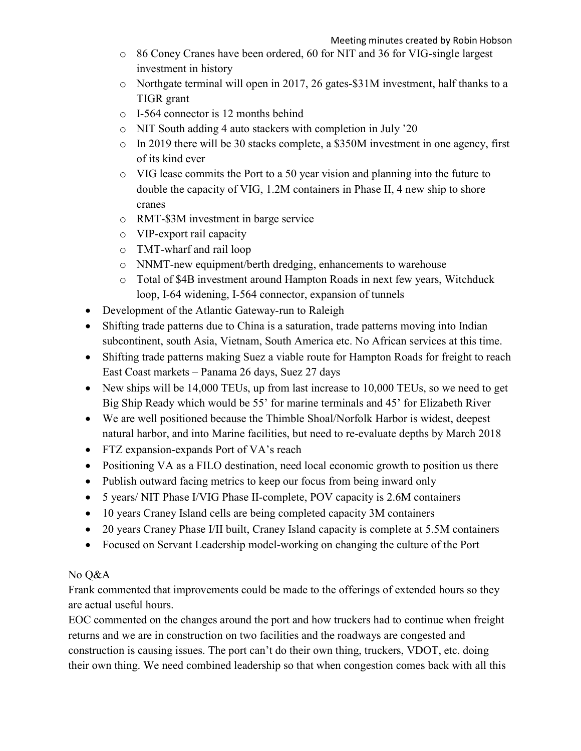- o 86 Coney Cranes have been ordered, 60 for NIT and 36 for VIG-single largest investment in history
- o Northgate terminal will open in 2017, 26 gates-\$31M investment, half thanks to a TIGR grant
- o I-564 connector is 12 months behind
- o NIT South adding 4 auto stackers with completion in July '20
- o In 2019 there will be 30 stacks complete, a \$350M investment in one agency, first of its kind ever
- o VIG lease commits the Port to a 50 year vision and planning into the future to double the capacity of VIG, 1.2M containers in Phase II, 4 new ship to shore cranes
- o RMT-\$3M investment in barge service
- o VIP-export rail capacity
- o TMT-wharf and rail loop
- o NNMT-new equipment/berth dredging, enhancements to warehouse
- o Total of \$4B investment around Hampton Roads in next few years, Witchduck loop, I-64 widening, I-564 connector, expansion of tunnels
- Development of the Atlantic Gateway-run to Raleigh
- Shifting trade patterns due to China is a saturation, trade patterns moving into Indian subcontinent, south Asia, Vietnam, South America etc. No African services at this time.
- Shifting trade patterns making Suez a viable route for Hampton Roads for freight to reach East Coast markets – Panama 26 days, Suez 27 days
- New ships will be 14,000 TEUs, up from last increase to 10,000 TEUs, so we need to get Big Ship Ready which would be 55' for marine terminals and 45' for Elizabeth River
- We are well positioned because the Thimble Shoal/Norfolk Harbor is widest, deepest natural harbor, and into Marine facilities, but need to re-evaluate depths by March 2018
- FTZ expansion-expands Port of VA's reach
- Positioning VA as a FILO destination, need local economic growth to position us there
- Publish outward facing metrics to keep our focus from being inward only
- 5 years/ NIT Phase I/VIG Phase II-complete, POV capacity is 2.6M containers
- 10 years Craney Island cells are being completed capacity 3M containers
- 20 years Craney Phase I/II built, Craney Island capacity is complete at 5.5M containers
- Focused on Servant Leadership model-working on changing the culture of the Port

## No Q&A

Frank commented that improvements could be made to the offerings of extended hours so they are actual useful hours.

EOC commented on the changes around the port and how truckers had to continue when freight returns and we are in construction on two facilities and the roadways are congested and construction is causing issues. The port can't do their own thing, truckers, VDOT, etc. doing their own thing. We need combined leadership so that when congestion comes back with all this